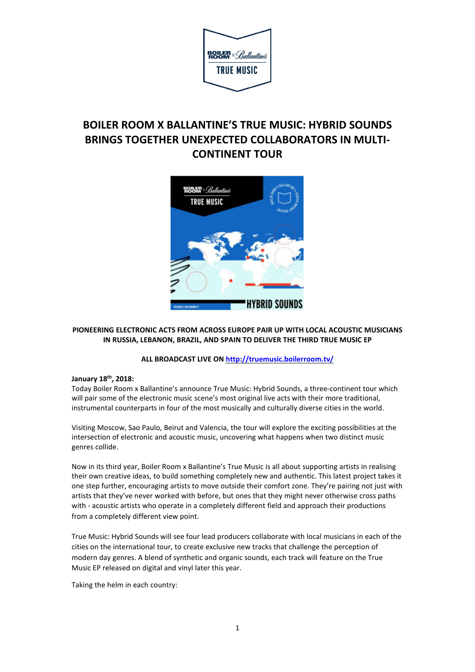

# **BOILER ROOM X BALLANTINE'S TRUE MUSIC: HYBRID SOUNDS BRINGS TOGETHER UNEXPECTED COLLABORATORS IN MULTI-CONTINENT TOUR**



## **PIONEERING ELECTRONIC ACTS FROM ACROSS EUROPE PAIR UP WITH LOCAL ACOUSTIC MUSICIANS IN RUSSIA, LEBANON, BRAZIL, AND SPAIN TO DELIVER THE THIRD TRUE MUSIC EP**

# **ALL BROADCAST LIVE ON <http://truemusic.boilerroom.tv/>**

## **January 18th , 2018:**

Today Boiler Room x Ballantine's announce True Music: Hybrid Sounds, a three-continent tour which will pair some of the electronic music scene's most original live acts with their more traditional, instrumental counterparts in four of the most musically and culturally diverse cities in the world.

Visiting Moscow, Sao Paulo, Beirut and Valencia, the tour will explore the exciting possibilities at the intersection of electronic and acoustic music, uncovering what happens when two distinct music genres collide.

Now in its third year, Boiler Room x Ballantine's True Music is all about supporting artists in realising their own creative ideas, to build something completely new and authentic. This latest project takes it one step further, encouraging artists to move outside their comfort zone. They're pairing not just with artists that they've never worked with before, but ones that they might never otherwise cross paths with - acoustic artists who operate in a completely different field and approach their productions from a completely different view point.

True Music: Hybrid Sounds will see four lead producers collaborate with local musicians in each of the cities on the international tour, to create exclusive new tracks that challenge the perception of modern day genres. A blend of synthetic and organic sounds, each track will feature on the True Music EP released on digital and vinyl later this year.

Taking the helm in each country: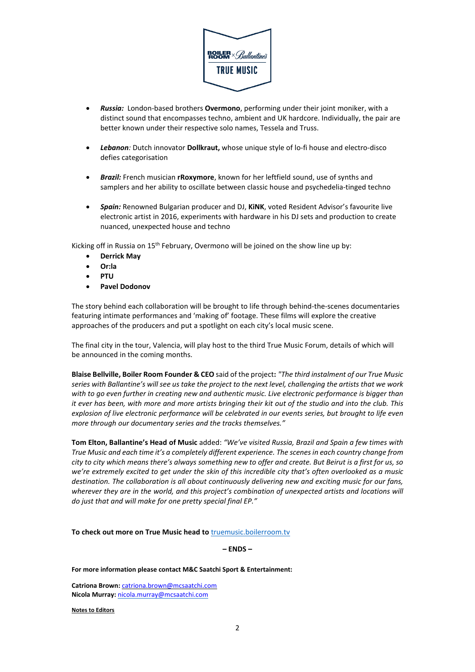

- *Russia:* London-based brothers **Overmono**, performing under their joint moniker, with a distinct sound that encompasses techno, ambient and UK hardcore. Individually, the pair are better known under their respective solo names, Tessela and Truss.
- *Lebanon:* Dutch innovator **Dollkraut,** whose unique style of lo-fi house and electro-disco defies categorisation
- *Brazil:* French musician **rRoxymore**, known for her leftfield sound, use of synths and samplers and her ability to oscillate between classic house and psychedelia-tinged techno
- *Spain:* Renowned Bulgarian producer and DJ, **KiNK**, voted Resident Advisor's favourite live electronic artist in 2016, experiments with hardware in his DJ sets and production to create nuanced, unexpected house and techno

Kicking off in Russia on 15<sup>th</sup> February, Overmono will be joined on the show line up by:

- **Derrick May**
- **Or:la**
- **PTU**
- **Pavel Dodonov**

The story behind each collaboration will be brought to life through behind-the-scenes documentaries featuring intimate performances and 'making of' footage. These films will explore the creative approaches of the producers and put a spotlight on each city's local music scene.

The final city in the tour, Valencia, will play host to the third True Music Forum, details of which will be announced in the coming months.

**Blaise Bellville, Boiler Room Founder & CEO** said of the project**:** *"The third instalment of our True Music* series with Ballantine's will see us take the project to the next level, challenging the artists that we work *with to go even further in creating new and authentic music. Live electronic performance is bigger than* it ever has been, with more and more artists bringing their kit out of the studio and into the club. This explosion of live electronic performance will be celebrated in our events series, but brought to life even *more through our documentary series and the tracks themselves."*

**Tom Elton, Ballantine's Head of Music** added: *"We've visited Russia, Brazil and Spain a few times with True Music and each time it's a completely different experience. The scenesin each country change from* city to city which means there's always something new to offer and create. But Beirut is a first for us, so we're extremely excited to get under the skin of this incredible city that's often overlooked as a music *destination. The collaboration is all about continuously delivering new and exciting music for our fans, wherever they are in the world, and this project's combination of unexpected artists and locations will do just that and will make for one pretty special final EP."*

**To check out more on True Music head to** [truemusic.boilerroom.tv](http://truemusic.boilerroom.tv/)

**– ENDS –**

**For more information please contact M&C Saatchi Sport & Entertainment:**

**Catriona Brown:** [catriona.brown@mcsaatchi.com](mailto:catriona.brown@mcsaatchi.com) **Nicola Murray:** [nicola.murray@mcsaatchi.com](mailto:nicola.murray@mcsaatchi.com)

**Notes to Editors**